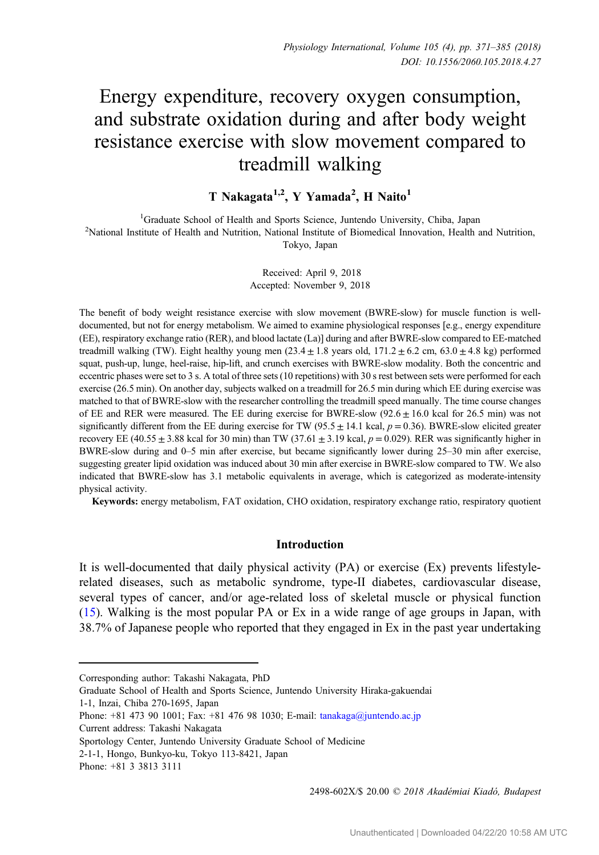# Energy expenditure, recovery oxygen consumption, and substrate oxidation during and after body weight resistance exercise with slow movement compared to treadmill walking

T Nakagata<sup>1,2</sup>, Y Yamada<sup>2</sup>, H Naito<sup>1</sup>

<sup>1</sup>Graduate School of Health and Sports Science, Juntendo University, Chiba, Japan<br><sup>2</sup>National Institute of Health and Nutrition, National Institute of Biomedical Innovation, Health <sup>2</sup>National Institute of Health and Nutrition, National Institute of Biomedical Innovation, Health and Nutrition, Tokyo, Japan

> Received: April 9, 2018 Accepted: November 9, 2018

The benefit of body weight resistance exercise with slow movement (BWRE-slow) for muscle function is welldocumented, but not for energy metabolism. We aimed to examine physiological responses [e.g., energy expenditure (EE), respiratory exchange ratio (RER), and blood lactate (La)] during and after BWRE-slow compared to EE-matched treadmill walking (TW). Eight healthy young men  $(23.4 \pm 1.8 \text{ years}$  old,  $171.2 \pm 6.2 \text{ cm}, 63.0 \pm 4.8 \text{ kg})$  performed squat, push-up, lunge, heel-raise, hip-lift, and crunch exercises with BWRE-slow modality. Both the concentric and eccentric phases were set to 3 s. A total of three sets (10 repetitions) with 30 s rest between sets were performed for each exercise (26.5 min). On another day, subjects walked on a treadmill for 26.5 min during which EE during exercise was matched to that of BWRE-slow with the researcher controlling the treadmill speed manually. The time course changes of EE and RER were measured. The EE during exercise for BWRE-slow  $(92.6 \pm 16.0 \text{ kcal}$  for 26.5 min) was not significantly different from the EE during exercise for TW (95.5  $\pm$  14.1 kcal,  $p = 0.36$ ). BWRE-slow elicited greater recovery EE (40.55  $\pm$  3.88 kcal for 30 min) than TW (37.61  $\pm$  3.19 kcal, p = 0.029). RER was significantly higher in BWRE-slow during and 0–5 min after exercise, but became significantly lower during 25–30 min after exercise, suggesting greater lipid oxidation was induced about 30 min after exercise in BWRE-slow compared to TW. We also indicated that BWRE-slow has 3.1 metabolic equivalents in average, which is categorized as moderate-intensity physical activity.

Keywords: energy metabolism, FAT oxidation, CHO oxidation, respiratory exchange ratio, respiratory quotient

## Introduction

It is well-documented that daily physical activity (PA) or exercise (Ex) prevents lifestylerelated diseases, such as metabolic syndrome, type-II diabetes, cardiovascular disease, several types of cancer, and/or age-related loss of skeletal muscle or physical function [\(15](#page-12-0)). Walking is the most popular PA or Ex in a wide range of age groups in Japan, with 38.7% of Japanese people who reported that they engaged in Ex in the past year undertaking

Graduate School of Health and Sports Science, Juntendo University Hiraka-gakuendai

2498-602X/\$ 20.00 © 2018 Akadémiai Kiadó, Budapest

Corresponding author: Takashi Nakagata, PhD

<sup>1-1,</sup> Inzai, Chiba 270-1695, Japan

Phone: +81 473 90 1001; Fax: +81 476 98 1030; E-mail: [tanakaga@juntendo.ac.jp](mailto:tanakaga@juntendo.ac.jp)

Current address: Takashi Nakagata

Sportology Center, Juntendo University Graduate School of Medicine

<sup>2-1-1,</sup> Hongo, Bunkyo-ku, Tokyo 113-8421, Japan

Phone: +81 3 3813 3111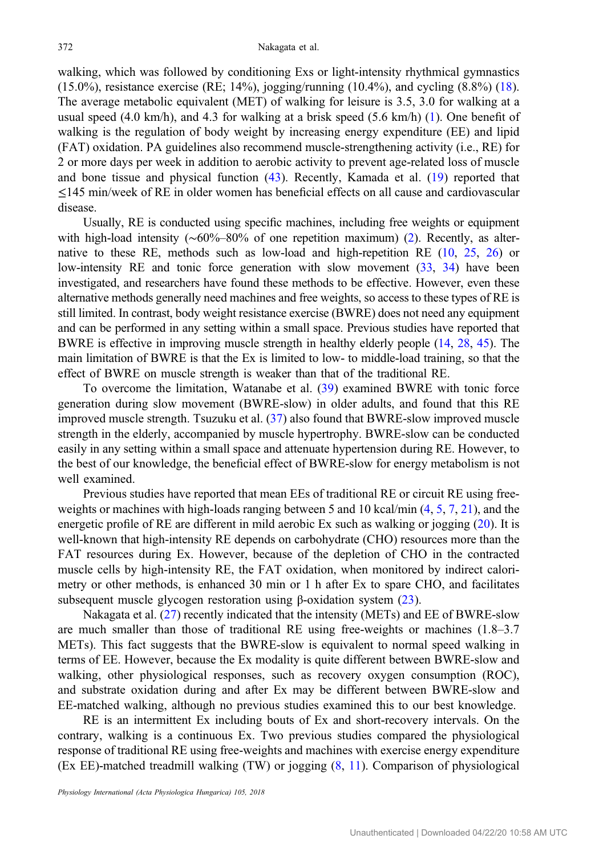walking, which was followed by conditioning Exs or light-intensity rhythmical gymnastics (15.0%), resistance exercise (RE; 14%), jogging/running (10.4%), and cycling  $(8.8\%)$  [\(18](#page-13-0)). The average metabolic equivalent (MET) of walking for leisure is 3.5, 3.0 for walking at a usual speed  $(4.0 \text{ km/h})$ , and  $4.3$  for walking at a brisk speed  $(5.6 \text{ km/h})$  [\(1](#page-12-0)). One benefit of walking is the regulation of body weight by increasing energy expenditure (EE) and lipid (FAT) oxidation. PA guidelines also recommend muscle-strengthening activity (i.e., RE) for 2 or more days per week in addition to aerobic activity to prevent age-related loss of muscle and bone tissue and physical function ([43](#page-14-0)). Recently, Kamada et al. ([19\)](#page-13-0) reported that ≤145 min/week of RE in older women has beneficial effects on all cause and cardiovascular disease.

Usually, RE is conducted using specific machines, including free weights or equipment with high-load intensity (∼60%–80% of one repetition maximum) [\(2](#page-12-0)). Recently, as alternative to these RE, methods such as low-load and high-repetition RE [\(10](#page-12-0), [25,](#page-13-0) [26](#page-13-0)) or low-intensity RE and tonic force generation with slow movement [\(33,](#page-13-0) [34\)](#page-13-0) have been investigated, and researchers have found these methods to be effective. However, even these alternative methods generally need machines and free weights, so access to these types of RE is still limited. In contrast, body weight resistance exercise (BWRE) does not need any equipment and can be performed in any setting within a small space. Previous studies have reported that BWRE is effective in improving muscle strength in healthy elderly people [\(14](#page-12-0), [28,](#page-13-0) [45\)](#page-14-0). The main limitation of BWRE is that the Ex is limited to low- to middle-load training, so that the effect of BWRE on muscle strength is weaker than that of the traditional RE.

To overcome the limitation, Watanabe et al. ([39\)](#page-13-0) examined BWRE with tonic force generation during slow movement (BWRE-slow) in older adults, and found that this RE improved muscle strength. Tsuzuku et al. ([37\)](#page-13-0) also found that BWRE-slow improved muscle strength in the elderly, accompanied by muscle hypertrophy. BWRE-slow can be conducted easily in any setting within a small space and attenuate hypertension during RE. However, to the best of our knowledge, the beneficial effect of BWRE-slow for energy metabolism is not well examined.

Previous studies have reported that mean EEs of traditional RE or circuit RE using freeweights or machines with high-loads ranging between 5 and 10 kcal/min [\(4](#page-12-0), [5,](#page-12-0) [7,](#page-12-0) [21](#page-13-0)), and the energetic profile of RE are different in mild aerobic Ex such as walking or jogging ([20\)](#page-13-0). It is well-known that high-intensity RE depends on carbohydrate (CHO) resources more than the FAT resources during Ex. However, because of the depletion of CHO in the contracted muscle cells by high-intensity RE, the FAT oxidation, when monitored by indirect calorimetry or other methods, is enhanced 30 min or 1 h after Ex to spare CHO, and facilitates subsequent muscle glycogen restoration using β-oxidation system  $(23)$  $(23)$ .

Nakagata et al. [\(27](#page-13-0)) recently indicated that the intensity (METs) and EE of BWRE-slow are much smaller than those of traditional RE using free-weights or machines (1.8–3.7 METs). This fact suggests that the BWRE-slow is equivalent to normal speed walking in terms of EE. However, because the Ex modality is quite different between BWRE-slow and walking, other physiological responses, such as recovery oxygen consumption (ROC), and substrate oxidation during and after Ex may be different between BWRE-slow and EE-matched walking, although no previous studies examined this to our best knowledge.

RE is an intermittent Ex including bouts of Ex and short-recovery intervals. On the contrary, walking is a continuous Ex. Two previous studies compared the physiological response of traditional RE using free-weights and machines with exercise energy expenditure (Ex EE)-matched treadmill walking (TW) or jogging [\(8,](#page-12-0) [11](#page-12-0)). Comparison of physiological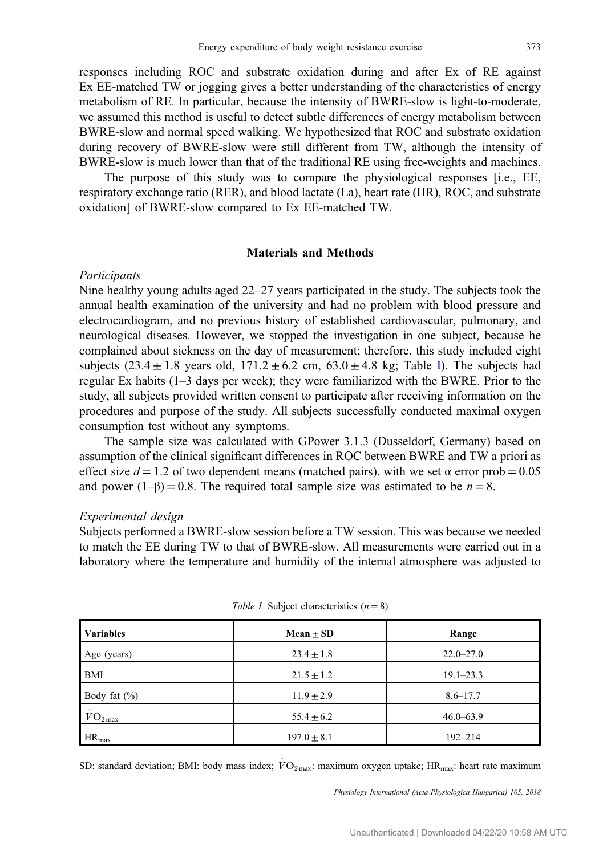responses including ROC and substrate oxidation during and after Ex of RE against Ex EE-matched TW or jogging gives a better understanding of the characteristics of energy metabolism of RE. In particular, because the intensity of BWRE-slow is light-to-moderate, we assumed this method is useful to detect subtle differences of energy metabolism between BWRE-slow and normal speed walking. We hypothesized that ROC and substrate oxidation during recovery of BWRE-slow were still different from TW, although the intensity of BWRE-slow is much lower than that of the traditional RE using free-weights and machines.

The purpose of this study was to compare the physiological responses [i.e., EE, respiratory exchange ratio (RER), and blood lactate (La), heart rate (HR), ROC, and substrate oxidation] of BWRE-slow compared to Ex EE-matched TW.

#### Materials and Methods

#### Participants

Nine healthy young adults aged 22–27 years participated in the study. The subjects took the annual health examination of the university and had no problem with blood pressure and electrocardiogram, and no previous history of established cardiovascular, pulmonary, and neurological diseases. However, we stopped the investigation in one subject, because he complained about sickness on the day of measurement; therefore, this study included eight subjects  $(23.4 \pm 1.8$  years old,  $171.2 \pm 6.2$  cm,  $63.0 \pm 4.8$  kg; Table I). The subjects had regular Ex habits (1–3 days per week); they were familiarized with the BWRE. Prior to the study, all subjects provided written consent to participate after receiving information on the procedures and purpose of the study. All subjects successfully conducted maximal oxygen consumption test without any symptoms.

The sample size was calculated with GPower 3.1.3 (Dusseldorf, Germany) based on assumption of the clinical significant differences in ROC between BWRE and TW a priori as effect size  $d = 1.2$  of two dependent means (matched pairs), with we set  $\alpha$  error prob = 0.05 and power  $(1-\beta) = 0.8$ . The required total sample size was estimated to be  $n = 8$ .

#### Experimental design

Subjects performed a BWRE-slow session before a TW session. This was because we needed to match the EE during TW to that of BWRE-slow. All measurements were carried out in a laboratory where the temperature and humidity of the internal atmosphere was adjusted to

| <b>Variables</b> | Mean $\pm$ SD   | Range         |  |
|------------------|-----------------|---------------|--|
| Age (years)      | $23.4 \pm 1.8$  | $22.0 - 27.0$ |  |
| <b>BMI</b>       | $21.5 \pm 1.2$  | $19.1 - 23.3$ |  |
| Body fat $(\% )$ | $11.9 \pm 2.9$  | $8.6 - 17.7$  |  |
| $VO_{2max}$      | $55.4 \pm 6.2$  | $46.0 - 63.9$ |  |
| $HR_{max}$       | $197.0 \pm 8.1$ | $192 - 214$   |  |

SD: standard deviation; BMI: body mass index;  $\dot{V}O_{2\text{max}}$ : maximum oxygen uptake; HR<sub>max</sub>: heart rate maximum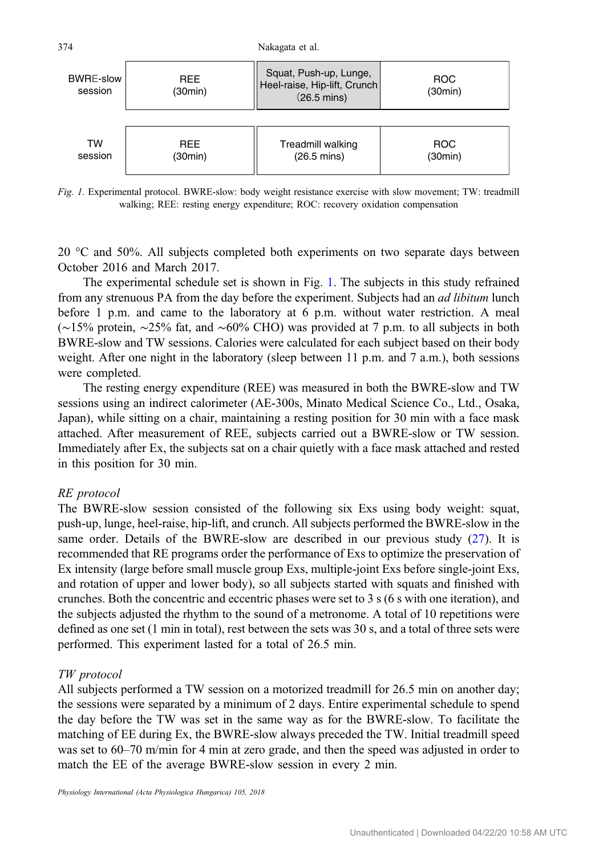

Fig. 1. Experimental protocol. BWRE-slow: body weight resistance exercise with slow movement; TW: treadmill walking; REE: resting energy expenditure; ROC: recovery oxidation compensation

20 °C and 50%. All subjects completed both experiments on two separate days between October 2016 and March 2017.

The experimental schedule set is shown in Fig. 1. The subjects in this study refrained from any strenuous PA from the day before the experiment. Subjects had an *ad libitum* lunch before 1 p.m. and came to the laboratory at 6 p.m. without water restriction. A meal (∼15% protein, ∼25% fat, and ∼60% CHO) was provided at 7 p.m. to all subjects in both BWRE-slow and TW sessions. Calories were calculated for each subject based on their body weight. After one night in the laboratory (sleep between 11 p.m. and 7 a.m.), both sessions were completed.

The resting energy expenditure (REE) was measured in both the BWRE-slow and TW sessions using an indirect calorimeter (AE-300s, Minato Medical Science Co., Ltd., Osaka, Japan), while sitting on a chair, maintaining a resting position for 30 min with a face mask attached. After measurement of REE, subjects carried out a BWRE-slow or TW session. Immediately after Ex, the subjects sat on a chair quietly with a face mask attached and rested in this position for 30 min.

## RE protocol

The BWRE-slow session consisted of the following six Exs using body weight: squat, push-up, lunge, heel-raise, hip-lift, and crunch. All subjects performed the BWRE-slow in the same order. Details of the BWRE-slow are described in our previous study [\(27](#page-13-0)). It is recommended that RE programs order the performance of Exs to optimize the preservation of Ex intensity (large before small muscle group Exs, multiple-joint Exs before single-joint Exs, and rotation of upper and lower body), so all subjects started with squats and finished with crunches. Both the concentric and eccentric phases were set to 3 s (6 s with one iteration), and the subjects adjusted the rhythm to the sound of a metronome. A total of 10 repetitions were defined as one set (1 min in total), rest between the sets was 30 s, and a total of three sets were performed. This experiment lasted for a total of 26.5 min.

# TW protocol

All subjects performed a TW session on a motorized treadmill for 26.5 min on another day; the sessions were separated by a minimum of 2 days. Entire experimental schedule to spend the day before the TW was set in the same way as for the BWRE-slow. To facilitate the matching of EE during Ex, the BWRE-slow always preceded the TW. Initial treadmill speed was set to 60–70 m/min for 4 min at zero grade, and then the speed was adjusted in order to match the EE of the average BWRE-slow session in every 2 min.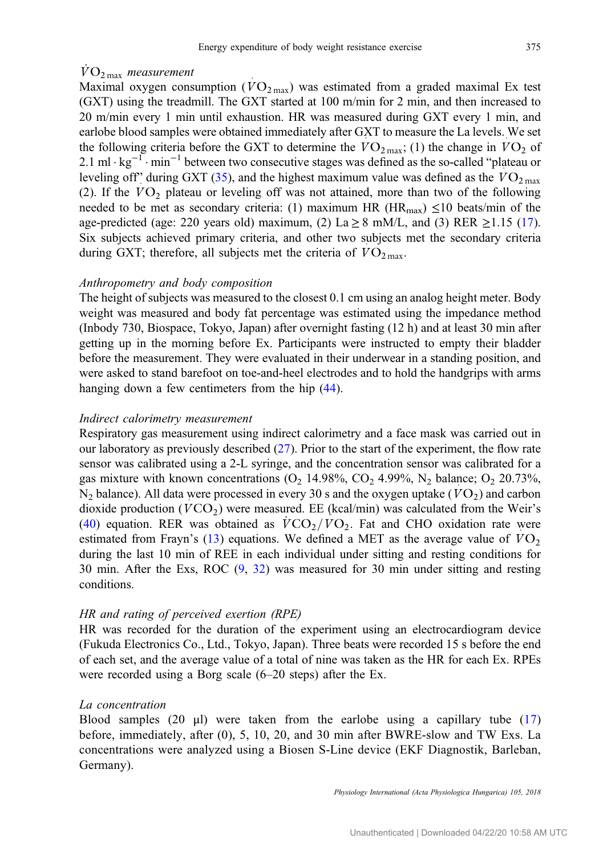# $\rm\dot{VO}_{2\,max}$  measurement

Maximal oxygen consumption  $(VO_{2\max})$  was estimated from a graded maximal Ex test (GXT) using the treadmill. The GXT started at 100 m/min for 2 min, and then increased to 20 m/min every 1 min until exhaustion. HR was measured during GXT every 1 min, and earlobe blood samples were obtained immediately after GXT to measure the La levels. We set the following criteria before the GXT to determine the  $VO_{2\text{ max}}$ ; (1) the change in  $VO_2$  of 2.1 ml·kg<sup>-1</sup>·min<sup>-1</sup> between two consecutive stages was defined as the so-called "plateau or leveling off" during GXT [\(35](#page-13-0)), and the highest maximum value was defined as the  $VO_{2\text{ max}}$ (2). If the  $VO<sub>2</sub>$  plateau or leveling off was not attained, more than two of the following needed to be met as secondary criteria: (1) maximum HR ( $HR_{max}$ )  $\leq$ 10 beats/min of the age-predicted (age: 220 years old) maximum, (2) La  $\geq$  8 mM/L, and (3) RER  $\geq$ 1.15 [\(17](#page-13-0)). Six subjects achieved primary criteria, and other two subjects met the secondary criteria during GXT; therefore, all subjects met the criteria of  $VO<sub>2 max</sub>$ </sub>.

## Anthropometry and body composition

The height of subjects was measured to the closest 0.1 cm using an analog height meter. Body weight was measured and body fat percentage was estimated using the impedance method (Inbody 730, Biospace, Tokyo, Japan) after overnight fasting (12 h) and at least 30 min after getting up in the morning before Ex. Participants were instructed to empty their bladder before the measurement. They were evaluated in their underwear in a standing position, and were asked to stand barefoot on toe-and-heel electrodes and to hold the handgrips with arms hanging down a few centimeters from the hip  $(44)$  $(44)$ .

#### Indirect calorimetry measurement

Respiratory gas measurement using indirect calorimetry and a face mask was carried out in our laboratory as previously described ([27\)](#page-13-0). Prior to the start of the experiment, the flow rate sensor was calibrated using a 2-L syringe, and the concentration sensor was calibrated for a gas mixture with known concentrations  $(O_2 14.98\%, CO_2 4.99\%, N_2 \text{balance}; O_2 20.73\%,$  $N_2$  balance). All data were processed in every 30 s and the oxygen uptake  $(VO_2)$  and carbon dioxide production ( $VCO_2$ ) were measured. EE (kcal/min) was calculated from the Weir's [\(40](#page-13-0)) equation. RER was obtained as  $\sqrt{C_2/V_0}$ . Fat and CHO oxidation rate were estimated from Frayn's ([13\)](#page-12-0) equations. We defined a MET as the average value of  $VO<sub>2</sub>$ during the last 10 min of REE in each individual under sitting and resting conditions for 30 min. After the Exs, ROC [\(9,](#page-12-0) [32](#page-13-0)) was measured for 30 min under sitting and resting conditions.

## HR and rating of perceived exertion (RPE)

HR was recorded for the duration of the experiment using an electrocardiogram device (Fukuda Electronics Co., Ltd., Tokyo, Japan). Three beats were recorded 15 s before the end of each set, and the average value of a total of nine was taken as the HR for each Ex. RPEs were recorded using a Borg scale (6–20 steps) after the Ex.

#### La concentration

Blood samples (20  $\mu$ ) were taken from the earlobe using a capillary tube ([17\)](#page-13-0) before, immediately, after (0), 5, 10, 20, and 30 min after BWRE-slow and TW Exs. La concentrations were analyzed using a Biosen S-Line device (EKF Diagnostik, Barleban, Germany).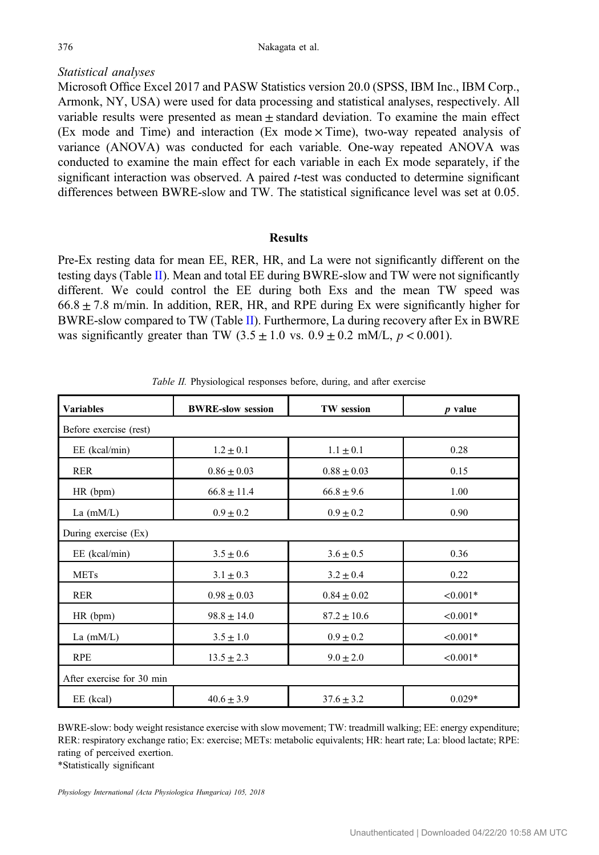# <span id="page-5-0"></span>Statistical analyses

Microsoft Office Excel 2017 and PASW Statistics version 20.0 (SPSS, IBM Inc., IBM Corp., Armonk, NY, USA) were used for data processing and statistical analyses, respectively. All variable results were presented as mean  $\pm$  standard deviation. To examine the main effect (Ex mode and Time) and interaction (Ex mode  $\times$  Time), two-way repeated analysis of variance (ANOVA) was conducted for each variable. One-way repeated ANOVA was conducted to examine the main effect for each variable in each Ex mode separately, if the significant interaction was observed. A paired *t*-test was conducted to determine significant differences between BWRE-slow and TW. The statistical significance level was set at 0.05.

## **Results**

Pre-Ex resting data for mean EE, RER, HR, and La were not significantly different on the testing days (Table II). Mean and total EE during BWRE-slow and TW were not significantly different. We could control the EE during both Exs and the mean TW speed was  $66.8 \pm 7.8$  m/min. In addition, RER, HR, and RPE during Ex were significantly higher for BWRE-slow compared to TW (Table II). Furthermore, La during recovery after Ex in BWRE was significantly greater than TW (3.5  $\pm$  1.0 vs. 0.9  $\pm$  0.2 mM/L, p < 0.001).

| <b>Variables</b>             | <b>BWRE-slow session</b> |                 | $p$ value  |  |
|------------------------------|--------------------------|-----------------|------------|--|
| Before exercise (rest)       |                          |                 |            |  |
| $EE$ (kcal/min)              | $1.2 \pm 0.1$            | $1.1 \pm 0.1$   | 0.28       |  |
| <b>RER</b>                   | $0.86 \pm 0.03$          | $0.88 \pm 0.03$ | 0.15       |  |
| HR (bpm)                     | $66.8 \pm 11.4$          | $66.8 \pm 9.6$  | 1.00       |  |
| La $(mM/L)$                  | $0.9 \pm 0.2$            | $0.9 \pm 0.2$   | 0.90       |  |
| During exercise (Ex)         |                          |                 |            |  |
| $EE$ (kcal/min)              | $3.5 \pm 0.6$            | $3.6 \pm 0.5$   | 0.36       |  |
| <b>METs</b>                  | $3.1 \pm 0.3$            | $3.2 \pm 0.4$   | 0.22       |  |
| <b>RER</b>                   | $0.98 \pm 0.03$          | $0.84 \pm 0.02$ | $< 0.001*$ |  |
| HR (bpm)                     | $98.8 \pm 14.0$          | $87.2 \pm 10.6$ | $< 0.001*$ |  |
| La $(mM/L)$                  | $3.5 \pm 1.0$            | $0.9 \pm 0.2$   | $< 0.001*$ |  |
| <b>RPE</b><br>$13.5 \pm 2.3$ |                          | $9.0 \pm 2.0$   | $< 0.001*$ |  |
| After exercise for 30 min    |                          |                 |            |  |
| EE (kcal)                    | $40.6 \pm 3.9$           | $37.6 \pm 3.2$  | $0.029*$   |  |

Table II. Physiological responses before, during, and after exercise

BWRE-slow: body weight resistance exercise with slow movement; TW: treadmill walking; EE: energy expenditure; RER: respiratory exchange ratio; Ex: exercise; METs: metabolic equivalents; HR: heart rate; La: blood lactate; RPE: rating of perceived exertion.

\*Statistically significant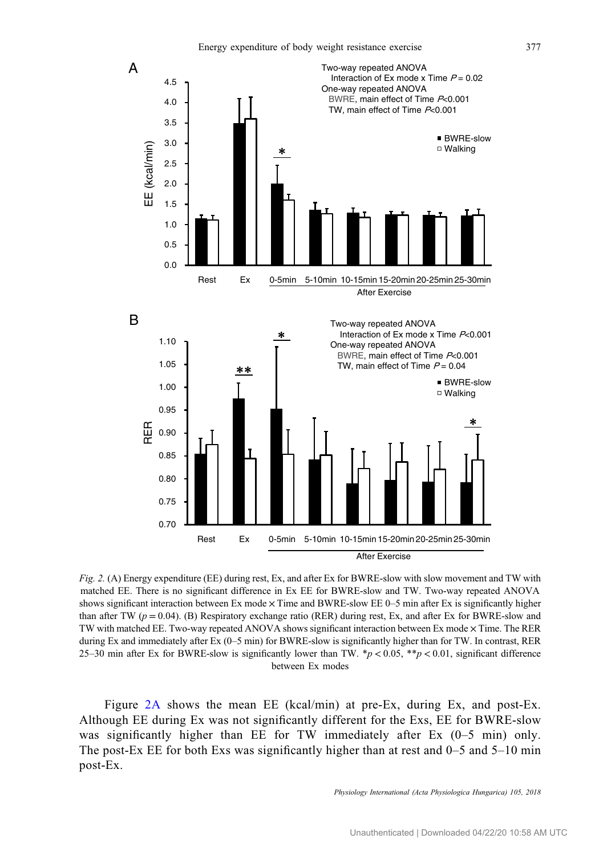<span id="page-6-0"></span>

Fig. 2. (A) Energy expenditure (EE) during rest, Ex, and after Ex for BWRE-slow with slow movement and TW with matched EE. There is no significant difference in Ex EE for BWRE-slow and TW. Two-way repeated ANOVA shows significant interaction between Ex mode  $\times$  Time and BWRE-slow EE 0–5 min after Ex is significantly higher than after TW ( $p = 0.04$ ). (B) Respiratory exchange ratio (RER) during rest, Ex, and after Ex for BWRE-slow and TW with matched EE. Two-way repeated ANOVA shows significant interaction between Ex mode × Time. The RER during Ex and immediately after Ex (0–5 min) for BWRE-slow is significantly higher than for TW. In contrast, RER 25–30 min after Ex for BWRE-slow is significantly lower than TW.  $\frac{*p}{6}$  < 0.05,  $\frac{*p}{6}$  < 0.01, significant difference between Ex modes

Figure 2A shows the mean EE (kcal/min) at pre-Ex, during Ex, and post-Ex. Although EE during Ex was not significantly different for the Exs, EE for BWRE-slow was significantly higher than EE for TW immediately after Ex (0–5 min) only. The post-Ex EE for both Exs was significantly higher than at rest and  $0-5$  and  $5-10$  min post-Ex.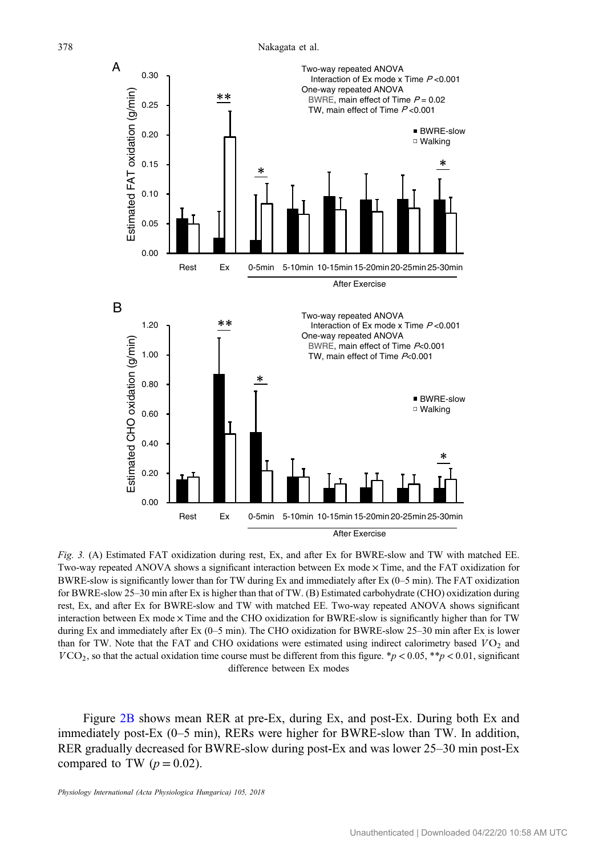<span id="page-7-0"></span>

Fig. 3. (A) Estimated FAT oxidization during rest, Ex, and after Ex for BWRE-slow and TW with matched EE. Two-way repeated ANOVA shows a significant interaction between Ex mode × Time, and the FAT oxidization for BWRE-slow is significantly lower than for TW during Ex and immediately after Ex (0–5 min). The FAT oxidization for BWRE-slow 25–30 min after Ex is higher than that of TW. (B) Estimated carbohydrate (CHO) oxidization during rest, Ex, and after Ex for BWRE-slow and TW with matched EE. Two-way repeated ANOVA shows significant interaction between Ex mode  $\times$  Time and the CHO oxidization for BWRE-slow is significantly higher than for TW during Ex and immediately after Ex (0–5 min). The CHO oxidization for BWRE-slow 25–30 min after Ex is lower than for TW. Note that the FAT and CHO oxidations were estimated using indirect calorimetry based  $VO_2$  and than for TW. Note that the FAT and CHO oxidations were estimated using indirect calorimetry based  $VO_2$  and  $VCO<sub>2</sub>$ , so that the actual oxidation time course must be different from this figure. \*p < 0.05, \*\*p < 0.01, significant difference between Ex modes

Figure [2B](#page-6-0) shows mean RER at pre-Ex, during Ex, and post-Ex. During both Ex and immediately post-Ex (0–5 min), RERs were higher for BWRE-slow than TW. In addition, RER gradually decreased for BWRE-slow during post-Ex and was lower 25–30 min post-Ex compared to TW  $(p = 0.02)$ .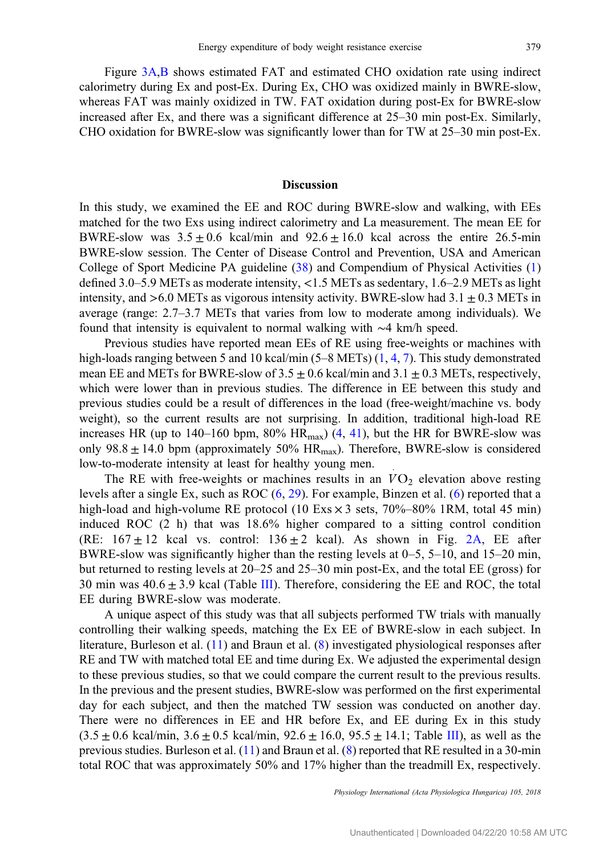Figure [3A,B](#page-7-0) shows estimated FAT and estimated CHO oxidation rate using indirect calorimetry during Ex and post-Ex. During Ex, CHO was oxidized mainly in BWRE-slow, whereas FAT was mainly oxidized in TW. FAT oxidation during post-Ex for BWRE-slow increased after Ex, and there was a significant difference at 25–30 min post-Ex. Similarly, CHO oxidation for BWRE-slow was significantly lower than for TW at 25–30 min post-Ex.

#### Discussion

In this study, we examined the EE and ROC during BWRE-slow and walking, with EEs matched for the two Exs using indirect calorimetry and La measurement. The mean EE for BWRE-slow was  $3.5 \pm 0.6$  kcal/min and  $92.6 \pm 16.0$  kcal across the entire 26.5-min BWRE-slow session. The Center of Disease Control and Prevention, USA and American College of Sport Medicine PA guideline [\(38](#page-13-0)) and Compendium of Physical Activities ([1\)](#page-12-0) defined 3.0–5.9 METs as moderate intensity, <1.5 METs as sedentary, 1.6–2.9 METs as light intensity, and  $>6.0$  METs as vigorous intensity activity. BWRE-slow had  $3.1 \pm 0.3$  METs in average (range: 2.7–3.7 METs that varies from low to moderate among individuals). We found that intensity is equivalent to normal walking with ∼4 km/h speed.

Previous studies have reported mean EEs of RE using free-weights or machines with high-loads ranging between 5 and 10 kcal/min  $(5-8 \text{ METs})$   $(1, 4, 7)$  $(1, 4, 7)$  $(1, 4, 7)$  $(1, 4, 7)$  $(1, 4, 7)$  $(1, 4, 7)$ . This study demonstrated mean EE and METs for BWRE-slow of  $3.5 \pm 0.6$  kcal/min and  $3.1 \pm 0.3$  METs, respectively, which were lower than in previous studies. The difference in EE between this study and previous studies could be a result of differences in the load (free-weight/machine vs. body weight), so the current results are not surprising. In addition, traditional high-load RE increases HR (up to 140–160 bpm,  $80\%$  HR<sub>max</sub>) [\(4](#page-12-0), [41](#page-14-0)), but the HR for BWRE-slow was only  $98.8 \pm 14.0$  bpm (approximately  $50\%$  HR<sub>max</sub>). Therefore, BWRE-slow is considered low-to-moderate intensity at least for healthy young men.

The RE with free-weights or machines results in an  $VO<sub>2</sub>$  elevation above resting levels after a single Ex, such as ROC  $(6, 29)$  $(6, 29)$  $(6, 29)$  $(6, 29)$  $(6, 29)$ . For example, Binzen et al.  $(6)$  $(6)$  reported that a high-load and high-volume RE protocol (10 Exs  $\times$  3 sets, 70%–80% 1RM, total 45 min) induced ROC (2 h) that was 18.6% higher compared to a sitting control condition (RE:  $167 \pm 12$  kcal vs. control:  $136 \pm 2$  kcal). As shown in Fig. [2A,](#page-6-0) EE after BWRE-slow was significantly higher than the resting levels at 0–5, 5–10, and 15–20 min, but returned to resting levels at 20–25 and 25–30 min post-Ex, and the total EE (gross) for 30 min was  $40.6 \pm 3.9$  kcal (Table [III](#page-9-0)). Therefore, considering the EE and ROC, the total EE during BWRE-slow was moderate.

A unique aspect of this study was that all subjects performed TW trials with manually controlling their walking speeds, matching the Ex EE of BWRE-slow in each subject. In literature, Burleson et al. ([11\)](#page-12-0) and Braun et al. [\(8](#page-12-0)) investigated physiological responses after RE and TW with matched total EE and time during Ex. We adjusted the experimental design to these previous studies, so that we could compare the current result to the previous results. In the previous and the present studies, BWRE-slow was performed on the first experimental day for each subject, and then the matched TW session was conducted on another day. There were no differences in EE and HR before Ex, and EE during Ex in this study  $(3.5 \pm 0.6 \text{ kcal/min}, 3.6 \pm 0.5 \text{ kcal/min}, 92.6 \pm 16.0, 95.5 \pm 14.1; \text{ Table III})$ , as well as the previous studies. Burleson et al. [\(11](#page-12-0)) and Braun et al. [\(8](#page-12-0)) reported that RE resulted in a 30-min total ROC that was approximately 50% and 17% higher than the treadmill Ex, respectively.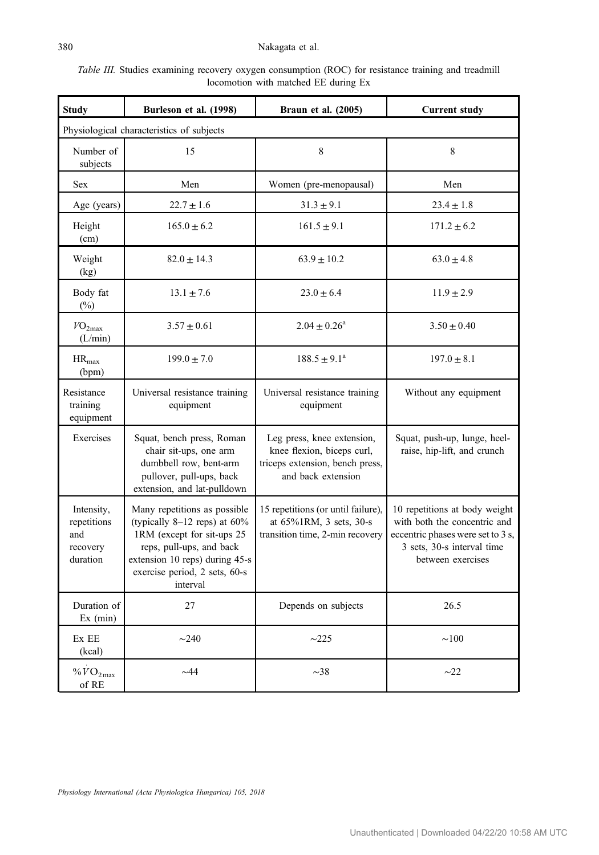### <span id="page-9-0"></span>380 Nakagata et al.

| <i>Table III.</i> Studies examining recovery oxygen consumption (ROC) for resistance training and treadmill |  |  |  |  |  |
|-------------------------------------------------------------------------------------------------------------|--|--|--|--|--|
| locomotion with matched EE during Ex                                                                        |  |  |  |  |  |

| <b>Study</b>                                                                                                                                                                                                                                                           | Burleson et al. (1998)                                                                                                                   | Braun et al. (2005)                                                                                               | <b>Current study</b>                                                                                                                                  |  |  |  |
|------------------------------------------------------------------------------------------------------------------------------------------------------------------------------------------------------------------------------------------------------------------------|------------------------------------------------------------------------------------------------------------------------------------------|-------------------------------------------------------------------------------------------------------------------|-------------------------------------------------------------------------------------------------------------------------------------------------------|--|--|--|
|                                                                                                                                                                                                                                                                        | Physiological characteristics of subjects                                                                                                |                                                                                                                   |                                                                                                                                                       |  |  |  |
| Number of<br>subjects                                                                                                                                                                                                                                                  | 15                                                                                                                                       | 8                                                                                                                 | 8                                                                                                                                                     |  |  |  |
| Sex                                                                                                                                                                                                                                                                    | Men                                                                                                                                      | Women (pre-menopausal)                                                                                            | Men                                                                                                                                                   |  |  |  |
| Age (years)                                                                                                                                                                                                                                                            | $22.7 \pm 1.6$                                                                                                                           | $31.3 \pm 9.1$                                                                                                    | $23.4 \pm 1.8$                                                                                                                                        |  |  |  |
| Height<br>(cm)                                                                                                                                                                                                                                                         | $165.0 \pm 6.2$                                                                                                                          | $161.5 \pm 9.1$                                                                                                   | $171.2 \pm 6.2$                                                                                                                                       |  |  |  |
| Weight<br>(kg)                                                                                                                                                                                                                                                         | $82.0 \pm 14.3$                                                                                                                          | $63.9 \pm 10.2$                                                                                                   | $63.0 \pm 4.8$                                                                                                                                        |  |  |  |
| Body fat<br>$(\%)$                                                                                                                                                                                                                                                     | $13.1 \pm 7.6$                                                                                                                           | $23.0 \pm 6.4$                                                                                                    | $11.9 \pm 2.9$                                                                                                                                        |  |  |  |
| VO <sub>2max</sub><br>(L/min)                                                                                                                                                                                                                                          | $3.57 \pm 0.61$                                                                                                                          | $2.04 \pm 0.26^a$                                                                                                 | $3.50 \pm 0.40$                                                                                                                                       |  |  |  |
| $\rm HR_{max}$<br>(bpm)                                                                                                                                                                                                                                                | $199.0 \pm 7.0$                                                                                                                          | $188.5 \pm 9.1^a$                                                                                                 | $197.0 \pm 8.1$                                                                                                                                       |  |  |  |
| Resistance<br>training<br>equipment                                                                                                                                                                                                                                    | Universal resistance training<br>equipment                                                                                               | Universal resistance training<br>equipment                                                                        | Without any equipment                                                                                                                                 |  |  |  |
| Exercises                                                                                                                                                                                                                                                              | Squat, bench press, Roman<br>chair sit-ups, one arm<br>dumbbell row, bent-arm<br>pullover, pull-ups, back<br>extension, and lat-pulldown | Leg press, knee extension,<br>knee flexion, biceps curl,<br>triceps extension, bench press,<br>and back extension | Squat, push-up, lunge, heel-<br>raise, hip-lift, and crunch                                                                                           |  |  |  |
| Intensity,<br>Many repetitions as possible<br>repetitions<br>(typically $8-12$ reps) at $60\%$<br>1RM (except for sit-ups 25<br>and<br>recovery<br>reps, pull-ups, and back<br>extension 10 reps) during 45-s<br>duration<br>exercise period, 2 sets, 60-s<br>interval |                                                                                                                                          | 15 repetitions (or until failure),<br>at 65%1RM, 3 sets, 30-s<br>transition time, 2-min recovery                  | 10 repetitions at body weight<br>with both the concentric and<br>eccentric phases were set to 3 s,<br>3 sets, 30-s interval time<br>between exercises |  |  |  |
| Duration of<br>Ex (min)                                                                                                                                                                                                                                                | 27                                                                                                                                       | Depends on subjects                                                                                               | 26.5                                                                                                                                                  |  |  |  |
| Ex EE<br>(kcal)                                                                                                                                                                                                                                                        | $\sim$ 240                                                                                                                               | $\sim$ 225                                                                                                        | $\sim 100$                                                                                                                                            |  |  |  |
| $\%$ $VO_{2\text{ max}}$<br>of RE                                                                                                                                                                                                                                      | ~144                                                                                                                                     | $\sim$ 38                                                                                                         | $\sim$ 22                                                                                                                                             |  |  |  |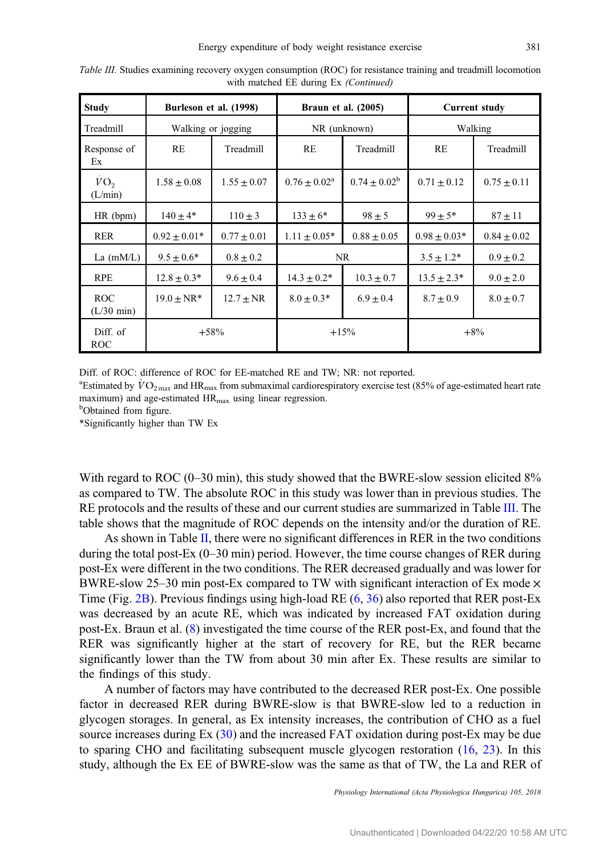| <b>Study</b>                       |                    | Burleson et al. (1998) | <b>Braun et al. (2005)</b> |                 | <b>Current study</b> |                 |
|------------------------------------|--------------------|------------------------|----------------------------|-----------------|----------------------|-----------------|
| Treadmill                          | Walking or jogging |                        | NR (unknown)               |                 | Walking              |                 |
| Response of<br>Ex                  | RE                 | Treadmill              | RE                         | Treadmill       | RE                   | Treadmill       |
| VO <sub>2</sub><br>(L/min)         | $1.58 \pm 0.08$    | $1.55 \pm 0.07$        | $0.76 + 0.02^a$            | $0.74 + 0.02^b$ | $0.71 \pm 0.12$      | $0.75 \pm 0.11$ |
| HR (bpm)                           | $140 + 4*$         | $110 \pm 3$            | $133 \pm 6^*$              | $98 \pm 5$      | $99 \pm 5*$          | $87 \pm 11$     |
| <b>RER</b>                         | $0.92 \pm 0.01*$   | $0.77 \pm 0.01$        | $1.11 \pm 0.05*$           | $0.88 \pm 0.05$ | $0.98 \pm 0.03*$     | $0.84 \pm 0.02$ |
| La $(mM/L)$                        | $9.5 + 0.6*$       | $0.8 \pm 0.2$          | NR.                        |                 | $3.5 \pm 1.2^*$      | $0.9 \pm 0.2$   |
| <b>RPE</b>                         | $12.8 \pm 0.3*$    | $9.6 \pm 0.4$          | $14.3 \pm 0.2^*$           | $10.3 \pm 0.7$  | $13.5 \pm 2.3^*$     | $9.0 \pm 2.0$   |
| <b>ROC</b><br>$(L/30 \text{ min})$ | $19.0 \pm NR^*$    | $12.7 \pm NR$          | $8.0 \pm 0.3*$             | $6.9 \pm 0.4$   | $8.7 \pm 0.9$        | $8.0 \pm 0.7$   |
| Diff. of<br><b>ROC</b>             | $+58%$             |                        | $+15%$                     |                 | $+8\%$               |                 |

Table III. Studies examining recovery oxygen consumption (ROC) for resistance training and treadmill locomotion with matched EE during Ex (Continued)

Diff. of ROC: difference of ROC for EE-matched RE and TW; NR: not reported.

<sup>a</sup> Estimated by  $\rm \ddot{VO}_{2\,max}$  and HR<sub>max</sub> from submaximal cardiorespiratory exercise test (85% of age-estimated heart rate maximum) and age-estimated  $HR<sub>max</sub>$  using linear regression.

<sup>b</sup>Obtained from figure.

\*Significantly higher than TW Ex

With regard to ROC (0–30 min), this study showed that the BWRE-slow session elicited 8% as compared to TW. The absolute ROC in this study was lower than in previous studies. The RE protocols and the results of these and our current studies are summarized in Table [III.](#page-9-0) The table shows that the magnitude of ROC depends on the intensity and/or the duration of RE.

As shown in Table [II,](#page-5-0) there were no significant differences in RER in the two conditions during the total post-Ex (0–30 min) period. However, the time course changes of RER during post-Ex were different in the two conditions. The RER decreased gradually and was lower for BWRE-slow 25–30 min post-Ex compared to TW with significant interaction of Ex mode  $\times$ Time (Fig. [2B](#page-6-0)). Previous findings using high-load RE [\(6](#page-12-0), [36](#page-13-0)) also reported that RER post-Ex was decreased by an acute RE, which was indicated by increased FAT oxidation during post-Ex. Braun et al. ([8\)](#page-12-0) investigated the time course of the RER post-Ex, and found that the RER was significantly higher at the start of recovery for RE, but the RER became significantly lower than the TW from about 30 min after Ex. These results are similar to the findings of this study.

A number of factors may have contributed to the decreased RER post-Ex. One possible factor in decreased RER during BWRE-slow is that BWRE-slow led to a reduction in glycogen storages. In general, as Ex intensity increases, the contribution of CHO as a fuel source increases during Ex ([30\)](#page-13-0) and the increased FAT oxidation during post-Ex may be due to sparing CHO and facilitating subsequent muscle glycogen restoration [\(16](#page-12-0), [23\)](#page-13-0). In this study, although the Ex EE of BWRE-slow was the same as that of TW, the La and RER of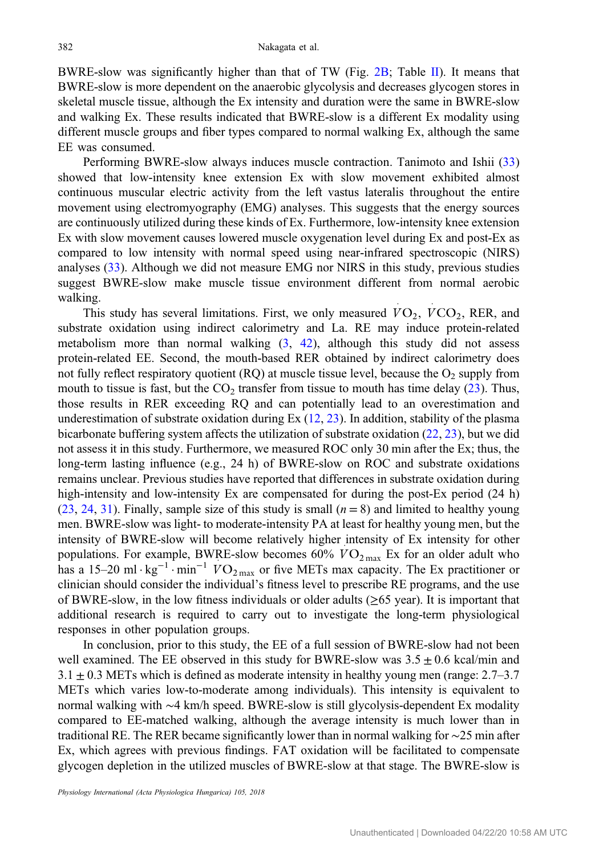BWRE-slow was significantly higher than that of TW (Fig. [2B](#page-6-0); Table [II](#page-5-0)). It means that BWRE-slow is more dependent on the anaerobic glycolysis and decreases glycogen stores in skeletal muscle tissue, although the Ex intensity and duration were the same in BWRE-slow and walking Ex. These results indicated that BWRE-slow is a different Ex modality using different muscle groups and fiber types compared to normal walking Ex, although the same EE was consumed.

Performing BWRE-slow always induces muscle contraction. Tanimoto and Ishii ([33\)](#page-13-0) showed that low-intensity knee extension Ex with slow movement exhibited almost continuous muscular electric activity from the left vastus lateralis throughout the entire movement using electromyography (EMG) analyses. This suggests that the energy sources are continuously utilized during these kinds of Ex. Furthermore, low-intensity knee extension Ex with slow movement causes lowered muscle oxygenation level during Ex and post-Ex as compared to low intensity with normal speed using near-infrared spectroscopic (NIRS) analyses ([33\)](#page-13-0). Although we did not measure EMG nor NIRS in this study, previous studies suggest BWRE-slow make muscle tissue environment different from normal aerobic walking.

This study has several limitations. First, we only measured  $VO_2$ ,  $VCO_2$ , RER, and substrate oxidation using indirect calorimetry and La. RE may induce protein-related metabolism more than normal walking  $(3, 42)$  $(3, 42)$  $(3, 42)$  $(3, 42)$ , although this study did not assess protein-related EE. Second, the mouth-based RER obtained by indirect calorimetry does not fully reflect respiratory quotient  $(RQ)$  at muscle tissue level, because the  $O<sub>2</sub>$  supply from mouth to tissue is fast, but the  $CO<sub>2</sub>$  transfer from tissue to mouth has time delay [\(23](#page-13-0)). Thus, those results in RER exceeding RQ and can potentially lead to an overestimation and underestimation of substrate oxidation during  $Ex(12, 23)$  $Ex(12, 23)$  $Ex(12, 23)$  $Ex(12, 23)$ . In addition, stability of the plasma bicarbonate buffering system affects the utilization of substrate oxidation ([22,](#page-13-0) [23\)](#page-13-0), but we did not assess it in this study. Furthermore, we measured ROC only 30 min after the Ex; thus, the long-term lasting influence (e.g., 24 h) of BWRE-slow on ROC and substrate oxidations remains unclear. Previous studies have reported that differences in substrate oxidation during high-intensity and low-intensity Ex are compensated for during the post-Ex period (24 h) [\(23](#page-13-0), [24,](#page-13-0) [31\)](#page-13-0). Finally, sample size of this study is small  $(n = 8)$  and limited to healthy young men. BWRE-slow was light- to moderate-intensity PA at least for healthy young men, but the intensity of BWRE-slow will become relatively higher intensity of Ex intensity for other populations. For example, BWRE-slow becomes  $60\%$   $VO_{2\text{ max}}$  Ex for an older adult who has a 15–20 ml · kg<sup>-1</sup> · min<sup>-1</sup>  $VO_{2\text{ max}}$  or five METs max capacity. The Ex practitioner or clinician should consider the individual's fitness level to prescribe RE programs, and the use of BWRE-slow, in the low fitness individuals or older adults ( $\geq 65$  year). It is important that additional research is required to carry out to investigate the long-term physiological responses in other population groups.

In conclusion, prior to this study, the EE of a full session of BWRE-slow had not been well examined. The EE observed in this study for BWRE-slow was  $3.5 \pm 0.6$  kcal/min and  $3.1 \pm 0.3$  METs which is defined as moderate intensity in healthy young men (range: 2.7–3.7) METs which varies low-to-moderate among individuals). This intensity is equivalent to normal walking with ∼4 km/h speed. BWRE-slow is still glycolysis-dependent Ex modality compared to EE-matched walking, although the average intensity is much lower than in traditional RE. The RER became significantly lower than in normal walking for ∼25 min after Ex, which agrees with previous findings. FAT oxidation will be facilitated to compensate glycogen depletion in the utilized muscles of BWRE-slow at that stage. The BWRE-slow is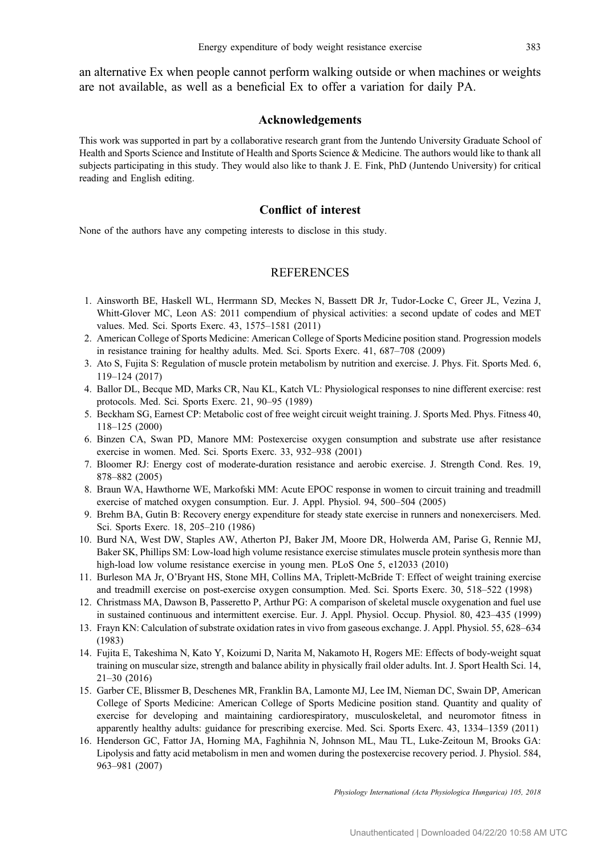<span id="page-12-0"></span>an alternative Ex when people cannot perform walking outside or when machines or weights are not available, as well as a beneficial Ex to offer a variation for daily PA.

#### Acknowledgements

This work was supported in part by a collaborative research grant from the Juntendo University Graduate School of Health and Sports Science and Institute of Health and Sports Science & Medicine. The authors would like to thank all subjects participating in this study. They would also like to thank J. E. Fink, PhD (Juntendo University) for critical reading and English editing.

## Conflict of interest

None of the authors have any competing interests to disclose in this study.

## **REFERENCES**

- 1. Ainsworth BE, Haskell WL, Herrmann SD, Meckes N, Bassett DR Jr, Tudor-Locke C, Greer JL, Vezina J, Whitt-Glover MC, Leon AS: 2011 compendium of physical activities: a second update of codes and MET values. Med. Sci. Sports Exerc. 43, 1575–1581 (2011)
- 2. American College of Sports Medicine: American College of Sports Medicine position stand. Progression models in resistance training for healthy adults. Med. Sci. Sports Exerc. 41, 687–708 (2009)
- 3. Ato S, Fujita S: Regulation of muscle protein metabolism by nutrition and exercise. J. Phys. Fit. Sports Med. 6, 119–124 (2017)
- 4. Ballor DL, Becque MD, Marks CR, Nau KL, Katch VL: Physiological responses to nine different exercise: rest protocols. Med. Sci. Sports Exerc. 21, 90–95 (1989)
- 5. Beckham SG, Earnest CP: Metabolic cost of free weight circuit weight training. J. Sports Med. Phys. Fitness 40, 118–125 (2000)
- 6. Binzen CA, Swan PD, Manore MM: Postexercise oxygen consumption and substrate use after resistance exercise in women. Med. Sci. Sports Exerc. 33, 932–938 (2001)
- 7. Bloomer RJ: Energy cost of moderate-duration resistance and aerobic exercise. J. Strength Cond. Res. 19, 878–882 (2005)
- 8. Braun WA, Hawthorne WE, Markofski MM: Acute EPOC response in women to circuit training and treadmill exercise of matched oxygen consumption. Eur. J. Appl. Physiol. 94, 500–504 (2005)
- 9. Brehm BA, Gutin B: Recovery energy expenditure for steady state exercise in runners and nonexercisers. Med. Sci. Sports Exerc. 18, 205–210 (1986)
- 10. Burd NA, West DW, Staples AW, Atherton PJ, Baker JM, Moore DR, Holwerda AM, Parise G, Rennie MJ, Baker SK, Phillips SM: Low-load high volume resistance exercise stimulates muscle protein synthesis more than high-load low volume resistance exercise in young men. PLoS One 5, e12033 (2010)
- 11. Burleson MA Jr, O'Bryant HS, Stone MH, Collins MA, Triplett-McBride T: Effect of weight training exercise and treadmill exercise on post-exercise oxygen consumption. Med. Sci. Sports Exerc. 30, 518–522 (1998)
- 12. Christmass MA, Dawson B, Passeretto P, Arthur PG: A comparison of skeletal muscle oxygenation and fuel use in sustained continuous and intermittent exercise. Eur. J. Appl. Physiol. Occup. Physiol. 80, 423–435 (1999)
- 13. Frayn KN: Calculation of substrate oxidation rates in vivo from gaseous exchange. J. Appl. Physiol. 55, 628–634 (1983)
- 14. Fujita E, Takeshima N, Kato Y, Koizumi D, Narita M, Nakamoto H, Rogers ME: Effects of body-weight squat training on muscular size, strength and balance ability in physically frail older adults. Int. J. Sport Health Sci. 14, 21–30 (2016)
- 15. Garber CE, Blissmer B, Deschenes MR, Franklin BA, Lamonte MJ, Lee IM, Nieman DC, Swain DP, American College of Sports Medicine: American College of Sports Medicine position stand. Quantity and quality of exercise for developing and maintaining cardiorespiratory, musculoskeletal, and neuromotor fitness in apparently healthy adults: guidance for prescribing exercise. Med. Sci. Sports Exerc. 43, 1334–1359 (2011)
- 16. Henderson GC, Fattor JA, Horning MA, Faghihnia N, Johnson ML, Mau TL, Luke-Zeitoun M, Brooks GA: Lipolysis and fatty acid metabolism in men and women during the postexercise recovery period. J. Physiol. 584, 963–981 (2007)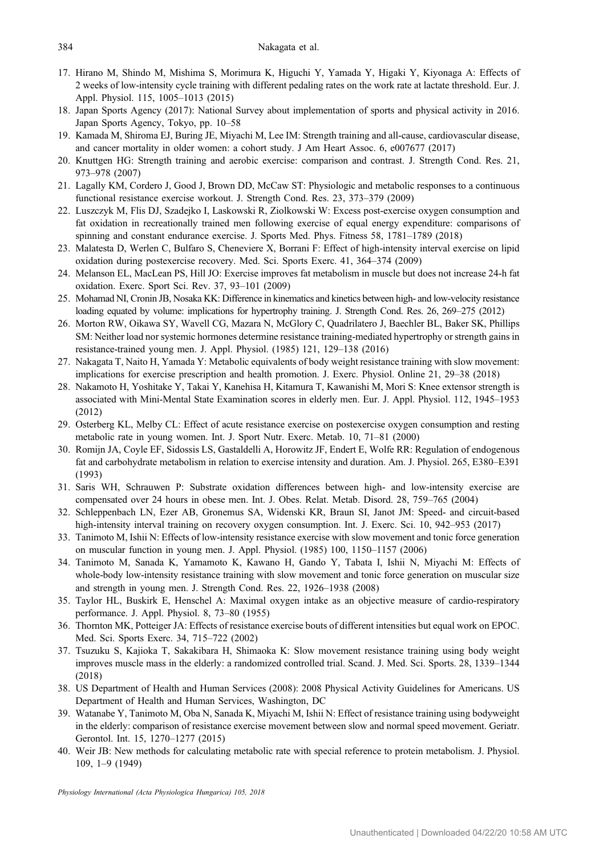- <span id="page-13-0"></span>17. Hirano M, Shindo M, Mishima S, Morimura K, Higuchi Y, Yamada Y, Higaki Y, Kiyonaga A: Effects of 2 weeks of low-intensity cycle training with different pedaling rates on the work rate at lactate threshold. Eur. J. Appl. Physiol. 115, 1005–1013 (2015)
- 18. Japan Sports Agency (2017): National Survey about implementation of sports and physical activity in 2016. Japan Sports Agency, Tokyo, pp. 10–58
- 19. Kamada M, Shiroma EJ, Buring JE, Miyachi M, Lee IM: Strength training and all-cause, cardiovascular disease, and cancer mortality in older women: a cohort study. J Am Heart Assoc. 6, e007677 (2017)
- 20. Knuttgen HG: Strength training and aerobic exercise: comparison and contrast. J. Strength Cond. Res. 21, 973–978 (2007)
- 21. Lagally KM, Cordero J, Good J, Brown DD, McCaw ST: Physiologic and metabolic responses to a continuous functional resistance exercise workout. J. Strength Cond. Res. 23, 373–379 (2009)
- 22. Luszczyk M, Flis DJ, Szadejko I, Laskowski R, Ziolkowski W: Excess post-exercise oxygen consumption and fat oxidation in recreationally trained men following exercise of equal energy expenditure: comparisons of spinning and constant endurance exercise. J. Sports Med. Phys. Fitness 58, 1781–1789 (2018)
- 23. Malatesta D, Werlen C, Bulfaro S, Cheneviere X, Borrani F: Effect of high-intensity interval exercise on lipid oxidation during postexercise recovery. Med. Sci. Sports Exerc. 41, 364–374 (2009)
- 24. Melanson EL, MacLean PS, Hill JO: Exercise improves fat metabolism in muscle but does not increase 24-h fat oxidation. Exerc. Sport Sci. Rev. 37, 93–101 (2009)
- 25. Mohamad NI, Cronin JB, Nosaka KK: Difference in kinematics and kinetics between high- and low-velocity resistance loading equated by volume: implications for hypertrophy training. J. Strength Cond. Res. 26, 269–275 (2012)
- 26. Morton RW, Oikawa SY, Wavell CG, Mazara N, McGlory C, Quadrilatero J, Baechler BL, Baker SK, Phillips SM: Neither load nor systemic hormones determine resistance training-mediated hypertrophy or strength gains in resistance-trained young men. J. Appl. Physiol. (1985) 121, 129–138 (2016)
- 27. Nakagata T, Naito H, Yamada Y: Metabolic equivalents of body weight resistance training with slow movement: implications for exercise prescription and health promotion. J. Exerc. Physiol. Online 21, 29–38 (2018)
- 28. Nakamoto H, Yoshitake Y, Takai Y, Kanehisa H, Kitamura T, Kawanishi M, Mori S: Knee extensor strength is associated with Mini-Mental State Examination scores in elderly men. Eur. J. Appl. Physiol. 112, 1945–1953 (2012)
- 29. Osterberg KL, Melby CL: Effect of acute resistance exercise on postexercise oxygen consumption and resting metabolic rate in young women. Int. J. Sport Nutr. Exerc. Metab. 10, 71–81 (2000)
- 30. Romijn JA, Coyle EF, Sidossis LS, Gastaldelli A, Horowitz JF, Endert E, Wolfe RR: Regulation of endogenous fat and carbohydrate metabolism in relation to exercise intensity and duration. Am. J. Physiol. 265, E380–E391 (1993)
- 31. Saris WH, Schrauwen P: Substrate oxidation differences between high- and low-intensity exercise are compensated over 24 hours in obese men. Int. J. Obes. Relat. Metab. Disord. 28, 759–765 (2004)
- 32. Schleppenbach LN, Ezer AB, Gronemus SA, Widenski KR, Braun SI, Janot JM: Speed- and circuit-based high-intensity interval training on recovery oxygen consumption. Int. J. Exerc. Sci. 10, 942–953 (2017)
- 33. Tanimoto M, Ishii N: Effects of low-intensity resistance exercise with slow movement and tonic force generation on muscular function in young men. J. Appl. Physiol. (1985) 100, 1150–1157 (2006)
- 34. Tanimoto M, Sanada K, Yamamoto K, Kawano H, Gando Y, Tabata I, Ishii N, Miyachi M: Effects of whole-body low-intensity resistance training with slow movement and tonic force generation on muscular size and strength in young men. J. Strength Cond. Res. 22, 1926–1938 (2008)
- 35. Taylor HL, Buskirk E, Henschel A: Maximal oxygen intake as an objective measure of cardio-respiratory performance. J. Appl. Physiol. 8, 73–80 (1955)
- 36. Thornton MK, Potteiger JA: Effects of resistance exercise bouts of different intensities but equal work on EPOC. Med. Sci. Sports Exerc. 34, 715–722 (2002)
- 37. Tsuzuku S, Kajioka T, Sakakibara H, Shimaoka K: Slow movement resistance training using body weight improves muscle mass in the elderly: a randomized controlled trial. Scand. J. Med. Sci. Sports. 28, 1339–1344 (2018)
- 38. US Department of Health and Human Services (2008): 2008 Physical Activity Guidelines for Americans. US Department of Health and Human Services, Washington, DC
- 39. Watanabe Y, Tanimoto M, Oba N, Sanada K, Miyachi M, Ishii N: Effect of resistance training using bodyweight in the elderly: comparison of resistance exercise movement between slow and normal speed movement. Geriatr. Gerontol. Int. 15, 1270–1277 (2015)
- 40. Weir JB: New methods for calculating metabolic rate with special reference to protein metabolism. J. Physiol. 109, 1–9 (1949)